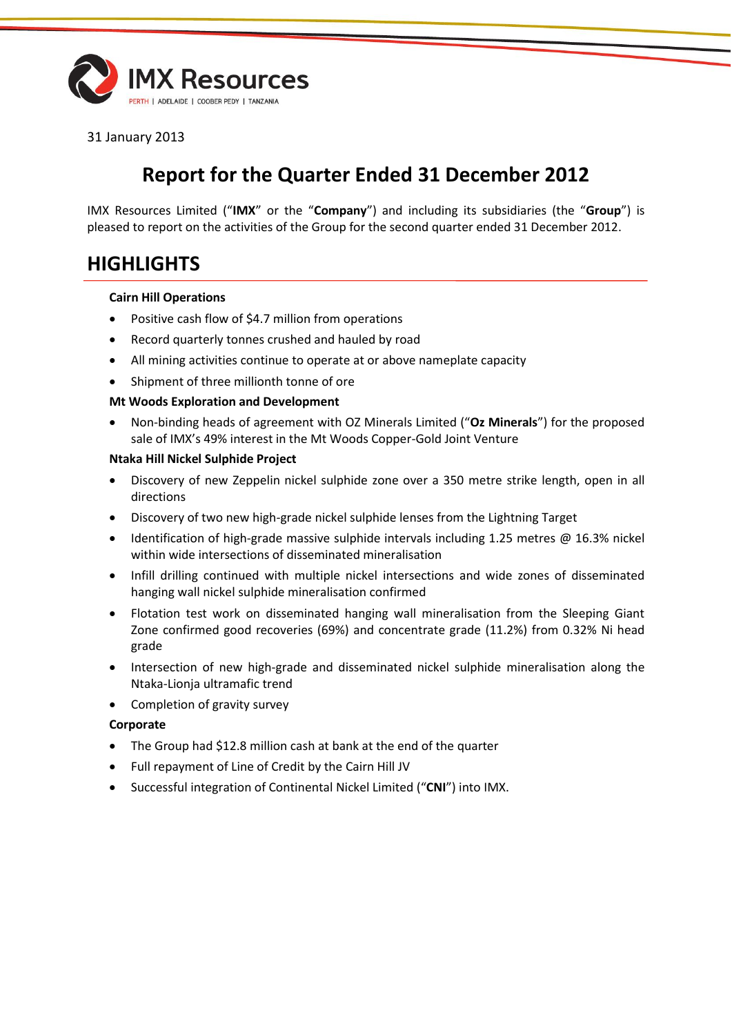

31 January 2013

# **Report for the Quarter Ended 31 December 2012**

IMX Resources Limited ("**IMX**" or the "**Company**") and including its subsidiaries (the "**Group**") is pleased to report on the activities of the Group for the second quarter ended 31 December 2012.

# **HIGHLIGHTS**

#### **Cairn Hill Operations**

- Positive cash flow of \$4.7 million from operations
- Record quarterly tonnes crushed and hauled by road
- All mining activities continue to operate at or above nameplate capacity
- Shipment of three millionth tonne of ore

### **Mt Woods Exploration and Development**

 Non-binding heads of agreement with OZ Minerals Limited ("**Oz Minerals**") for the proposed sale of IMX's 49% interest in the Mt Woods Copper-Gold Joint Venture

### **Ntaka Hill Nickel Sulphide Project**

- Discovery of new Zeppelin nickel sulphide zone over a 350 metre strike length, open in all directions
- Discovery of two new high-grade nickel sulphide lenses from the Lightning Target
- **IDENTIFICATION** of high-grade massive sulphide intervals including 1.25 metres  $\omega$  16.3% nickel within wide intersections of disseminated mineralisation
- Infill drilling continued with multiple nickel intersections and wide zones of disseminated hanging wall nickel sulphide mineralisation confirmed
- Flotation test work on disseminated hanging wall mineralisation from the Sleeping Giant Zone confirmed good recoveries (69%) and concentrate grade (11.2%) from 0.32% Ni head grade
- Intersection of new high-grade and disseminated nickel sulphide mineralisation along the Ntaka-Lionja ultramafic trend
- Completion of gravity survey

### **Corporate**

- The Group had \$12.8 million cash at bank at the end of the quarter
- Full repayment of Line of Credit by the Cairn Hill JV
- Successful integration of Continental Nickel Limited ("**CNI**") into IMX.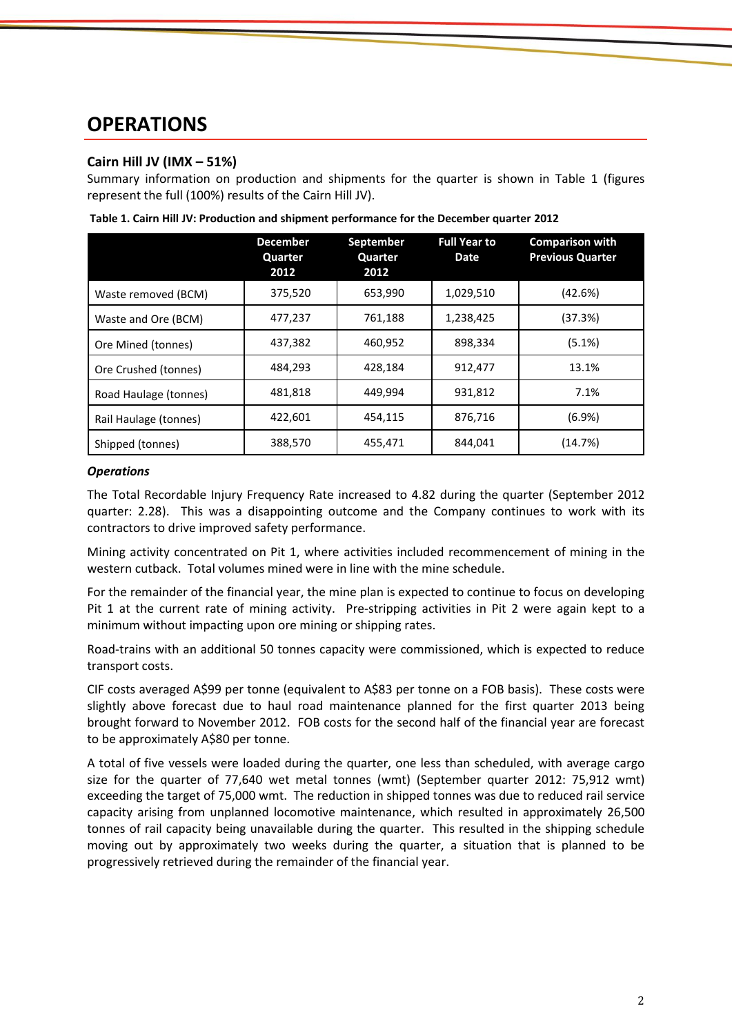# **OPERATIONS**

# **Cairn Hill JV (IMX – 51%)**

Summary information on production and shipments for the quarter is shown in Table 1 (figures represent the full (100%) results of the Cairn Hill JV).

|                       | <b>December</b><br>Quarter<br>2012 | September<br>Quarter<br>2012 | <b>Full Year to</b><br>Date | <b>Comparison with</b><br><b>Previous Quarter</b> |
|-----------------------|------------------------------------|------------------------------|-----------------------------|---------------------------------------------------|
| Waste removed (BCM)   | 375,520                            | 653,990                      | 1,029,510                   | (42.6%)                                           |
| Waste and Ore (BCM)   | 477,237                            | 761,188                      | 1,238,425                   | (37.3%)                                           |
| Ore Mined (tonnes)    | 437,382                            | 460,952                      | 898,334                     | (5.1%)                                            |
| Ore Crushed (tonnes)  | 484,293                            | 428,184                      | 912,477                     | 13.1%                                             |
| Road Haulage (tonnes) | 481,818                            | 449.994                      | 931,812                     | 7.1%                                              |
| Rail Haulage (tonnes) | 422.601                            | 454,115                      | 876,716                     | (6.9%)                                            |
| Shipped (tonnes)      | 388,570                            | 455,471                      | 844,041                     | (14.7%)                                           |

**Table 1. Cairn Hill JV: Production and shipment performance for the December quarter 2012**

#### *Operations*

The Total Recordable Injury Frequency Rate increased to 4.82 during the quarter (September 2012 quarter: 2.28). This was a disappointing outcome and the Company continues to work with its contractors to drive improved safety performance.

Mining activity concentrated on Pit 1, where activities included recommencement of mining in the western cutback. Total volumes mined were in line with the mine schedule.

For the remainder of the financial year, the mine plan is expected to continue to focus on developing Pit 1 at the current rate of mining activity. Pre-stripping activities in Pit 2 were again kept to a minimum without impacting upon ore mining or shipping rates.

Road-trains with an additional 50 tonnes capacity were commissioned, which is expected to reduce transport costs.

CIF costs averaged A\$99 per tonne (equivalent to A\$83 per tonne on a FOB basis). These costs were slightly above forecast due to haul road maintenance planned for the first quarter 2013 being brought forward to November 2012. FOB costs for the second half of the financial year are forecast to be approximately A\$80 per tonne.

A total of five vessels were loaded during the quarter, one less than scheduled, with average cargo size for the quarter of 77,640 wet metal tonnes (wmt) (September quarter 2012: 75,912 wmt) exceeding the target of 75,000 wmt. The reduction in shipped tonnes was due to reduced rail service capacity arising from unplanned locomotive maintenance, which resulted in approximately 26,500 tonnes of rail capacity being unavailable during the quarter. This resulted in the shipping schedule moving out by approximately two weeks during the quarter, a situation that is planned to be progressively retrieved during the remainder of the financial year.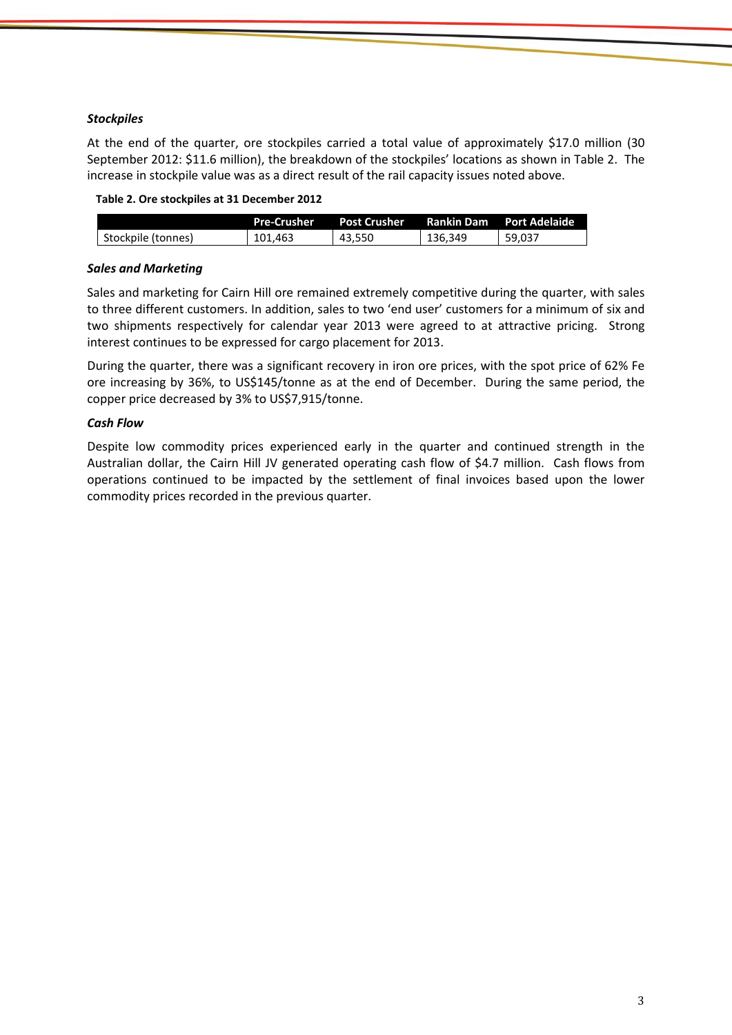#### *Stockpiles*

At the end of the quarter, ore stockpiles carried a total value of approximately \$17.0 million (30 September 2012: \$11.6 million), the breakdown of the stockpiles' locations as shown in Table 2. The increase in stockpile value was as a direct result of the rail capacity issues noted above.

| Table 2. Ore stockpiles at 31 December 2012 |  |
|---------------------------------------------|--|
|---------------------------------------------|--|

|                    | <b>Pre-Crusher</b> | <b>Post Crusher</b> | <b>Rankin Dam</b> | <b>Port Adelaide</b> |
|--------------------|--------------------|---------------------|-------------------|----------------------|
| Stockpile (tonnes) | 101.463            | 43.550              | 136.349           | 59.037               |

#### *Sales and Marketing*

Sales and marketing for Cairn Hill ore remained extremely competitive during the quarter, with sales to three different customers. In addition, sales to two 'end user' customers for a minimum of six and two shipments respectively for calendar year 2013 were agreed to at attractive pricing. Strong interest continues to be expressed for cargo placement for 2013.

During the quarter, there was a significant recovery in iron ore prices, with the spot price of 62% Fe ore increasing by 36%, to US\$145/tonne as at the end of December. During the same period, the copper price decreased by 3% to US\$7,915/tonne.

#### *Cash Flow*

Despite low commodity prices experienced early in the quarter and continued strength in the Australian dollar, the Cairn Hill JV generated operating cash flow of \$4.7 million. Cash flows from operations continued to be impacted by the settlement of final invoices based upon the lower commodity prices recorded in the previous quarter.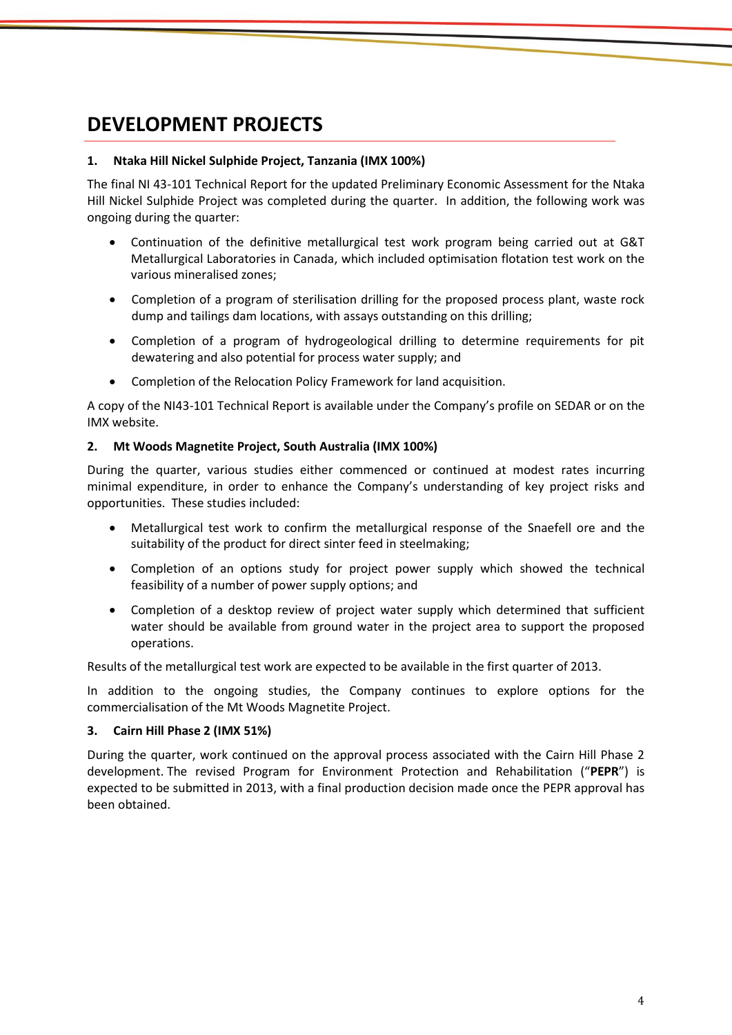# **DEVELOPMENT PROJECTS**

### **1. Ntaka Hill Nickel Sulphide Project, Tanzania (IMX 100%)**

The final NI 43-101 Technical Report for the updated Preliminary Economic Assessment for the Ntaka Hill Nickel Sulphide Project was completed during the quarter. In addition, the following work was ongoing during the quarter:

- Continuation of the definitive metallurgical test work program being carried out at G&T Metallurgical Laboratories in Canada, which included optimisation flotation test work on the various mineralised zones;
- Completion of a program of sterilisation drilling for the proposed process plant, waste rock dump and tailings dam locations, with assays outstanding on this drilling;
- Completion of a program of hydrogeological drilling to determine requirements for pit dewatering and also potential for process water supply; and
- Completion of the Relocation Policy Framework for land acquisition.

A copy of the NI43-101 Technical Report is available under the Company's profile on SEDAR or on the IMX website.

#### **2. Mt Woods Magnetite Project, South Australia (IMX 100%)**

During the quarter, various studies either commenced or continued at modest rates incurring minimal expenditure, in order to enhance the Company's understanding of key project risks and opportunities. These studies included:

- Metallurgical test work to confirm the metallurgical response of the Snaefell ore and the suitability of the product for direct sinter feed in steelmaking;
- Completion of an options study for project power supply which showed the technical feasibility of a number of power supply options; and
- Completion of a desktop review of project water supply which determined that sufficient water should be available from ground water in the project area to support the proposed operations.

Results of the metallurgical test work are expected to be available in the first quarter of 2013.

In addition to the ongoing studies, the Company continues to explore options for the commercialisation of the Mt Woods Magnetite Project.

### **3. Cairn Hill Phase 2 (IMX 51%)**

During the quarter, work continued on the approval process associated with the Cairn Hill Phase 2 development. The revised Program for Environment Protection and Rehabilitation ("**PEPR**") is expected to be submitted in 2013, with a final production decision made once the PEPR approval has been obtained.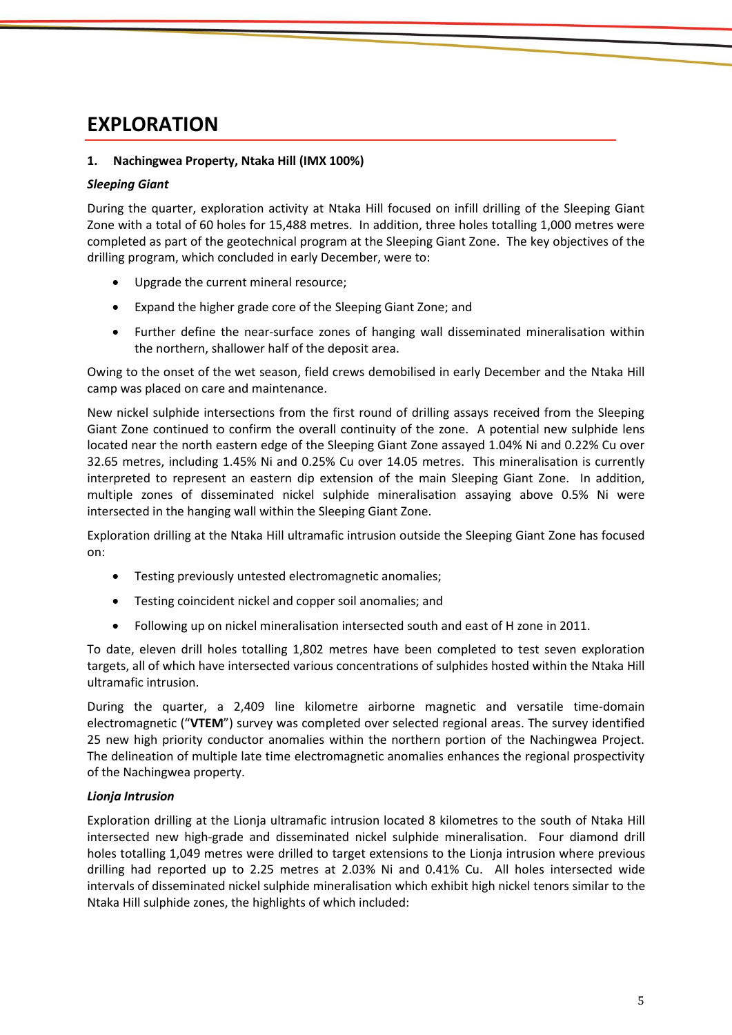# **EXPLORATION**

### **1. Nachingwea Property, Ntaka Hill (IMX 100%)**

#### *Sleeping Giant*

During the quarter, exploration activity at Ntaka Hill focused on infill drilling of the Sleeping Giant Zone with a total of 60 holes for 15,488 metres. In addition, three holes totalling 1,000 metres were completed as part of the geotechnical program at the Sleeping Giant Zone. The key objectives of the drilling program, which concluded in early December, were to:

- Upgrade the current mineral resource;
- Expand the higher grade core of the Sleeping Giant Zone; and
- Further define the near-surface zones of hanging wall disseminated mineralisation within the northern, shallower half of the deposit area.

Owing to the onset of the wet season, field crews demobilised in early December and the Ntaka Hill camp was placed on care and maintenance.

New nickel sulphide intersections from the first round of drilling assays received from the Sleeping Giant Zone continued to confirm the overall continuity of the zone. A potential new sulphide lens located near the north eastern edge of the Sleeping Giant Zone assayed 1.04% Ni and 0.22% Cu over 32.65 metres, including 1.45% Ni and 0.25% Cu over 14.05 metres. This mineralisation is currently interpreted to represent an eastern dip extension of the main Sleeping Giant Zone. In addition, multiple zones of disseminated nickel sulphide mineralisation assaying above 0.5% Ni were intersected in the hanging wall within the Sleeping Giant Zone.

Exploration drilling at the Ntaka Hill ultramafic intrusion outside the Sleeping Giant Zone has focused on:

- Testing previously untested electromagnetic anomalies;
- Testing coincident nickel and copper soil anomalies; and
- Following up on nickel mineralisation intersected south and east of H zone in 2011.

To date, eleven drill holes totalling 1,802 metres have been completed to test seven exploration targets, all of which have intersected various concentrations of sulphides hosted within the Ntaka Hill ultramafic intrusion.

During the quarter, a 2,409 line kilometre airborne magnetic and versatile time-domain electromagnetic ("**VTEM**") survey was completed over selected regional areas. The survey identified 25 new high priority conductor anomalies within the northern portion of the Nachingwea Project. The delineation of multiple late time electromagnetic anomalies enhances the regional prospectivity of the Nachingwea property.

#### *Lionja Intrusion*

Exploration drilling at the Lionja ultramafic intrusion located 8 kilometres to the south of Ntaka Hill intersected new high-grade and disseminated nickel sulphide mineralisation. Four diamond drill holes totalling 1,049 metres were drilled to target extensions to the Lionja intrusion where previous drilling had reported up to 2.25 metres at 2.03% Ni and 0.41% Cu. All holes intersected wide intervals of disseminated nickel sulphide mineralisation which exhibit high nickel tenors similar to the Ntaka Hill sulphide zones, the highlights of which included: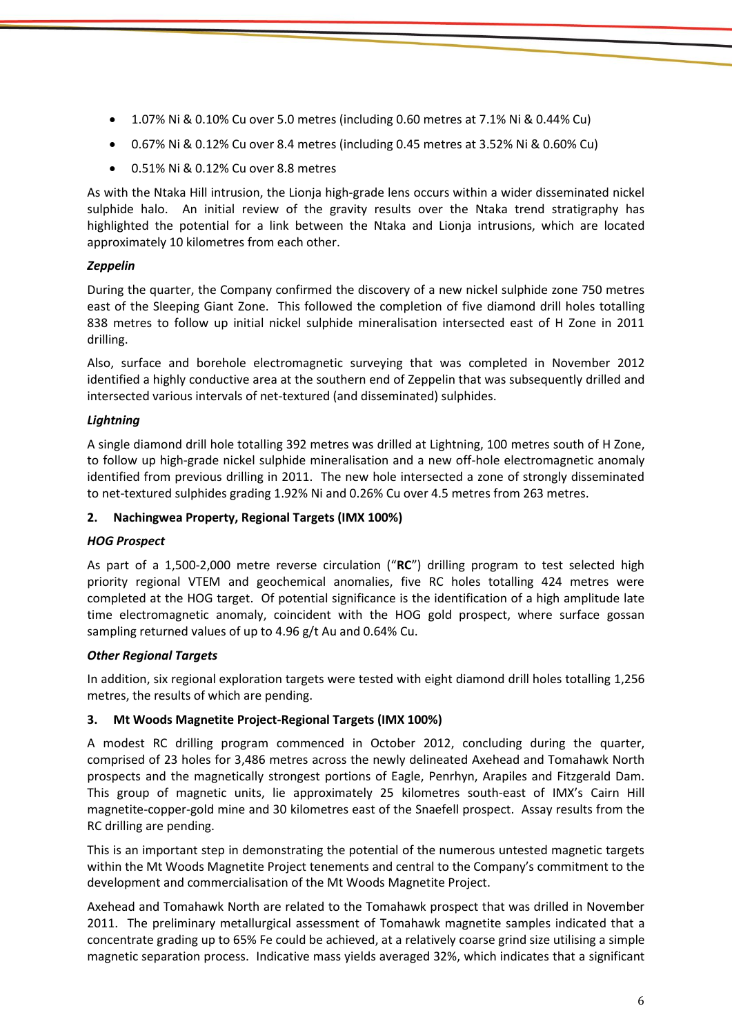- 1.07% Ni & 0.10% Cu over 5.0 metres (including 0.60 metres at 7.1% Ni & 0.44% Cu)
- 0.67% Ni & 0.12% Cu over 8.4 metres (including 0.45 metres at 3.52% Ni & 0.60% Cu)
- 0.51% Ni & 0.12% Cu over 8.8 metres

As with the Ntaka Hill intrusion, the Lionja high-grade lens occurs within a wider disseminated nickel sulphide halo. An initial review of the gravity results over the Ntaka trend stratigraphy has highlighted the potential for a link between the Ntaka and Lionja intrusions, which are located approximately 10 kilometres from each other.

# *Zeppelin*

During the quarter, the Company confirmed the discovery of a new nickel sulphide zone 750 metres east of the Sleeping Giant Zone. This followed the completion of five diamond drill holes totalling 838 metres to follow up initial nickel sulphide mineralisation intersected east of H Zone in 2011 drilling.

Also, surface and borehole electromagnetic surveying that was completed in November 2012 identified a highly conductive area at the southern end of Zeppelin that was subsequently drilled and intersected various intervals of net-textured (and disseminated) sulphides.

# *Lightning*

A single diamond drill hole totalling 392 metres was drilled at Lightning, 100 metres south of H Zone, to follow up high-grade nickel sulphide mineralisation and a new off-hole electromagnetic anomaly identified from previous drilling in 2011. The new hole intersected a zone of strongly disseminated to net-textured sulphides grading 1.92% Ni and 0.26% Cu over 4.5 metres from 263 metres.

## **2. Nachingwea Property, Regional Targets (IMX 100%)**

### *HOG Prospect*

As part of a 1,500-2,000 metre reverse circulation ("**RC**") drilling program to test selected high priority regional VTEM and geochemical anomalies, five RC holes totalling 424 metres were completed at the HOG target. Of potential significance is the identification of a high amplitude late time electromagnetic anomaly, coincident with the HOG gold prospect, where surface gossan sampling returned values of up to 4.96 g/t Au and 0.64% Cu.

### *Other Regional Targets*

In addition, six regional exploration targets were tested with eight diamond drill holes totalling 1,256 metres, the results of which are pending.

### **3. Mt Woods Magnetite Project-Regional Targets (IMX 100%)**

A modest RC drilling program commenced in October 2012, concluding during the quarter, comprised of 23 holes for 3,486 metres across the newly delineated Axehead and Tomahawk North prospects and the magnetically strongest portions of Eagle, Penrhyn, Arapiles and Fitzgerald Dam. This group of magnetic units, lie approximately 25 kilometres south-east of IMX's Cairn Hill magnetite-copper-gold mine and 30 kilometres east of the Snaefell prospect. Assay results from the RC drilling are pending.

This is an important step in demonstrating the potential of the numerous untested magnetic targets within the Mt Woods Magnetite Project tenements and central to the Company's commitment to the development and commercialisation of the Mt Woods Magnetite Project.

Axehead and Tomahawk North are related to the Tomahawk prospect that was drilled in November 2011. The preliminary metallurgical assessment of Tomahawk magnetite samples indicated that a concentrate grading up to 65% Fe could be achieved, at a relatively coarse grind size utilising a simple magnetic separation process. Indicative mass yields averaged 32%, which indicates that a significant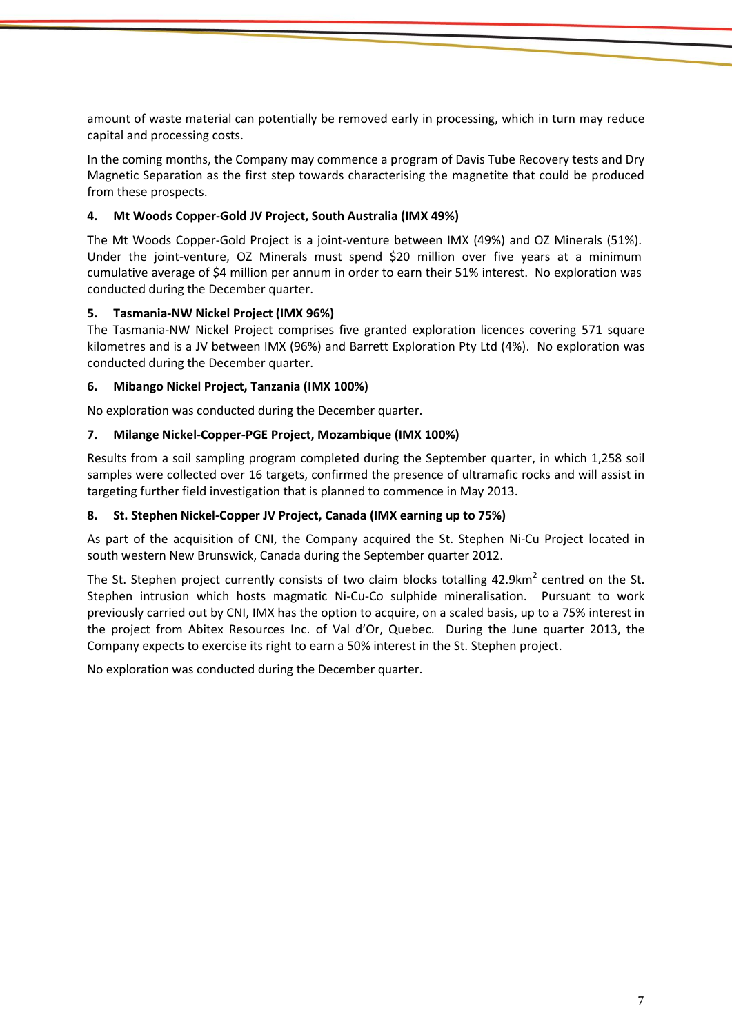amount of waste material can potentially be removed early in processing, which in turn may reduce capital and processing costs.

In the coming months, the Company may commence a program of Davis Tube Recovery tests and Dry Magnetic Separation as the first step towards characterising the magnetite that could be produced from these prospects.

### **4. Mt Woods Copper-Gold JV Project, South Australia (IMX 49%)**

The Mt Woods Copper-Gold Project is a joint-venture between IMX (49%) and OZ Minerals (51%). Under the joint-venture, OZ Minerals must spend \$20 million over five years at a minimum cumulative average of \$4 million per annum in order to earn their 51% interest. No exploration was conducted during the December quarter.

### **5. Tasmania-NW Nickel Project (IMX 96%)**

The Tasmania-NW Nickel Project comprises five granted exploration licences covering 571 square kilometres and is a JV between IMX (96%) and Barrett Exploration Pty Ltd (4%). No exploration was conducted during the December quarter.

### **6. Mibango Nickel Project, Tanzania (IMX 100%)**

No exploration was conducted during the December quarter.

### **7. Milange Nickel-Copper-PGE Project, Mozambique (IMX 100%)**

Results from a soil sampling program completed during the September quarter, in which 1,258 soil samples were collected over 16 targets, confirmed the presence of ultramafic rocks and will assist in targeting further field investigation that is planned to commence in May 2013.

#### **8. St. Stephen Nickel-Copper JV Project, Canada (IMX earning up to 75%)**

As part of the acquisition of CNI, the Company acquired the St. Stephen Ni-Cu Project located in south western New Brunswick, Canada during the September quarter 2012.

The St. Stephen project currently consists of two claim blocks totalling 42.9km<sup>2</sup> centred on the St. Stephen intrusion which hosts magmatic Ni-Cu-Co sulphide mineralisation. Pursuant to work previously carried out by CNI, IMX has the option to acquire, on a scaled basis, up to a 75% interest in the project from Abitex Resources Inc. of Val d'Or, Quebec. During the June quarter 2013, the Company expects to exercise its right to earn a 50% interest in the St. Stephen project.

No exploration was conducted during the December quarter.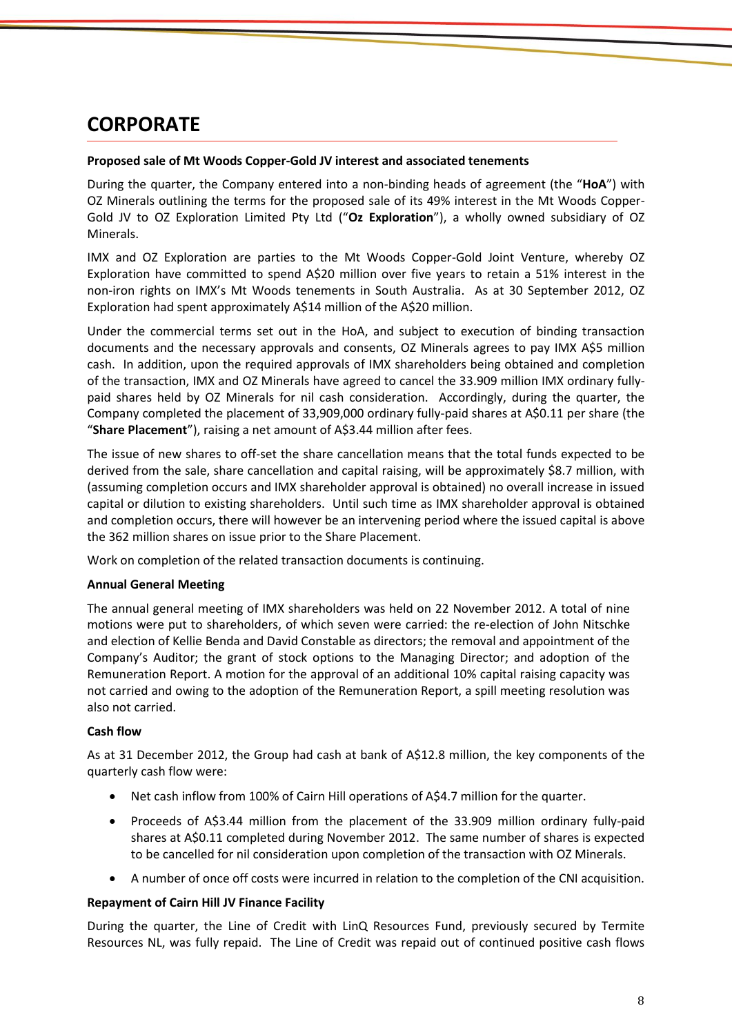# **CORPORATE**

#### **Proposed sale of Mt Woods Copper-Gold JV interest and associated tenements**

During the quarter, the Company entered into a non-binding heads of agreement (the "**HoA**") with OZ Minerals outlining the terms for the proposed sale of its 49% interest in the Mt Woods Copper-Gold JV to OZ Exploration Limited Pty Ltd ("**Oz Exploration**"), a wholly owned subsidiary of OZ Minerals.

IMX and OZ Exploration are parties to the Mt Woods Copper-Gold Joint Venture, whereby OZ Exploration have committed to spend A\$20 million over five years to retain a 51% interest in the non-iron rights on IMX's Mt Woods tenements in South Australia. As at 30 September 2012, OZ Exploration had spent approximately A\$14 million of the A\$20 million.

Under the commercial terms set out in the HoA, and subject to execution of binding transaction documents and the necessary approvals and consents, OZ Minerals agrees to pay IMX A\$5 million cash. In addition, upon the required approvals of IMX shareholders being obtained and completion of the transaction, IMX and OZ Minerals have agreed to cancel the 33.909 million IMX ordinary fullypaid shares held by OZ Minerals for nil cash consideration. Accordingly, during the quarter, the Company completed the placement of 33,909,000 ordinary fully-paid shares at A\$0.11 per share (the "**Share Placement**"), raising a net amount of A\$3.44 million after fees.

The issue of new shares to off-set the share cancellation means that the total funds expected to be derived from the sale, share cancellation and capital raising, will be approximately \$8.7 million, with (assuming completion occurs and IMX shareholder approval is obtained) no overall increase in issued capital or dilution to existing shareholders. Until such time as IMX shareholder approval is obtained and completion occurs, there will however be an intervening period where the issued capital is above the 362 million shares on issue prior to the Share Placement.

Work on completion of the related transaction documents is continuing.

### **Annual General Meeting**

The annual general meeting of IMX shareholders was held on 22 November 2012. A total of nine motions were put to shareholders, of which seven were carried: the re-election of John Nitschke and election of Kellie Benda and David Constable as directors; the removal and appointment of the Company's Auditor; the grant of stock options to the Managing Director; and adoption of the Remuneration Report. A motion for the approval of an additional 10% capital raising capacity was not carried and owing to the adoption of the Remuneration Report, a spill meeting resolution was also not carried.

#### **Cash flow**

As at 31 December 2012, the Group had cash at bank of A\$12.8 million, the key components of the quarterly cash flow were:

- Net cash inflow from 100% of Cairn Hill operations of A\$4.7 million for the quarter.
- Proceeds of A\$3.44 million from the placement of the 33.909 million ordinary fully-paid shares at A\$0.11 completed during November 2012. The same number of shares is expected to be cancelled for nil consideration upon completion of the transaction with OZ Minerals.
- A number of once off costs were incurred in relation to the completion of the CNI acquisition.

#### **Repayment of Cairn Hill JV Finance Facility**

During the quarter, the Line of Credit with LinQ Resources Fund, previously secured by Termite Resources NL, was fully repaid. The Line of Credit was repaid out of continued positive cash flows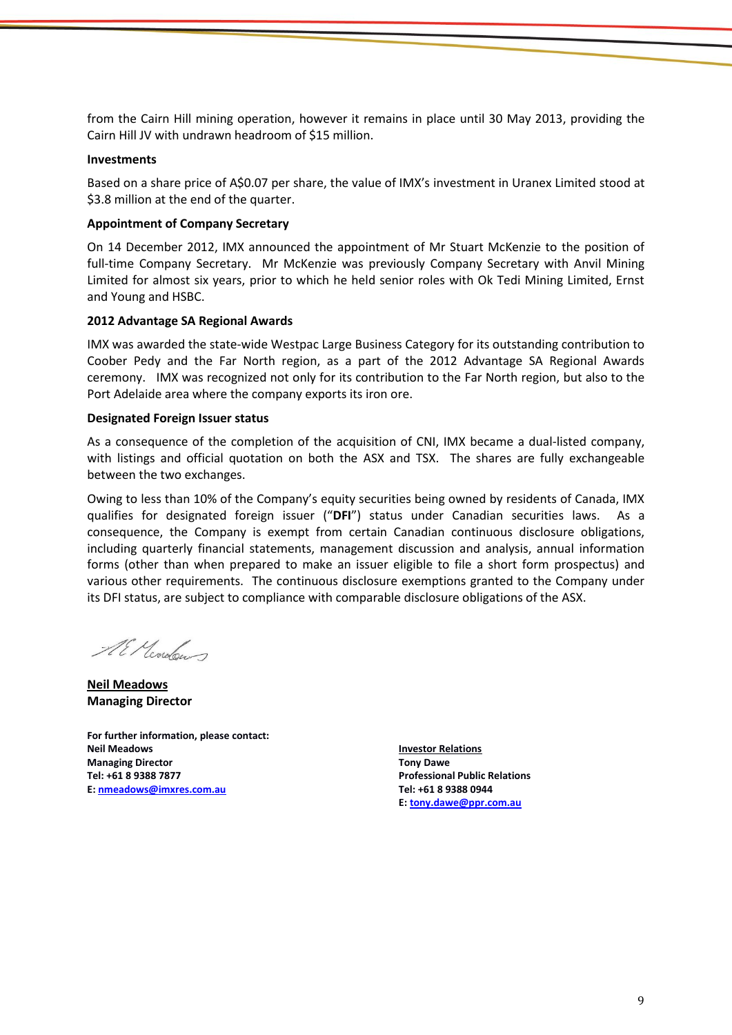from the Cairn Hill mining operation, however it remains in place until 30 May 2013, providing the Cairn Hill JV with undrawn headroom of \$15 million.

#### **Investments**

Based on a share price of A\$0.07 per share, the value of IMX's investment in Uranex Limited stood at \$3.8 million at the end of the quarter.

#### **Appointment of Company Secretary**

On 14 December 2012, IMX announced the appointment of Mr Stuart McKenzie to the position of full-time Company Secretary. Mr McKenzie was previously Company Secretary with Anvil Mining Limited for almost six years, prior to which he held senior roles with Ok Tedi Mining Limited, Ernst and Young and HSBC.

#### **2012 Advantage SA Regional Awards**

IMX was awarded the state-wide Westpac Large Business Category for its outstanding contribution to Coober Pedy and the Far North region, as a part of the 2012 Advantage SA Regional Awards ceremony. IMX was recognized not only for its contribution to the Far North region, but also to the Port Adelaide area where the company exports its iron ore.

#### **Designated Foreign Issuer status**

As a consequence of the completion of the acquisition of CNI, IMX became a dual-listed company, with listings and official quotation on both the ASX and TSX. The shares are fully exchangeable between the two exchanges.

Owing to less than 10% of the Company's equity securities being owned by residents of Canada, IMX qualifies for designated foreign issuer ("**DFI**") status under Canadian securities laws. As a consequence, the Company is exempt from certain Canadian continuous disclosure obligations, including quarterly financial statements, management discussion and analysis, annual information forms (other than when prepared to make an issuer eligible to file a short form prospectus) and various other requirements. The continuous disclosure exemptions granted to the Company under its DFI status, are subject to compliance with comparable disclosure obligations of the ASX.

Al Modern

**Neil Meadows Managing Director**

**For further information, please contact: Neil Meadows Managing Director Tel: +61 8 9388 7877 E: [nmeadows@imxres.com.au](mailto:nmeadows@imxres.com.au)**

**Investor Relations Tony Dawe Professional Public Relations Tel: +61 8 9388 0944 E[: tony.dawe@ppr.com.au](mailto:lesleyjohns@optusnet.com.au)**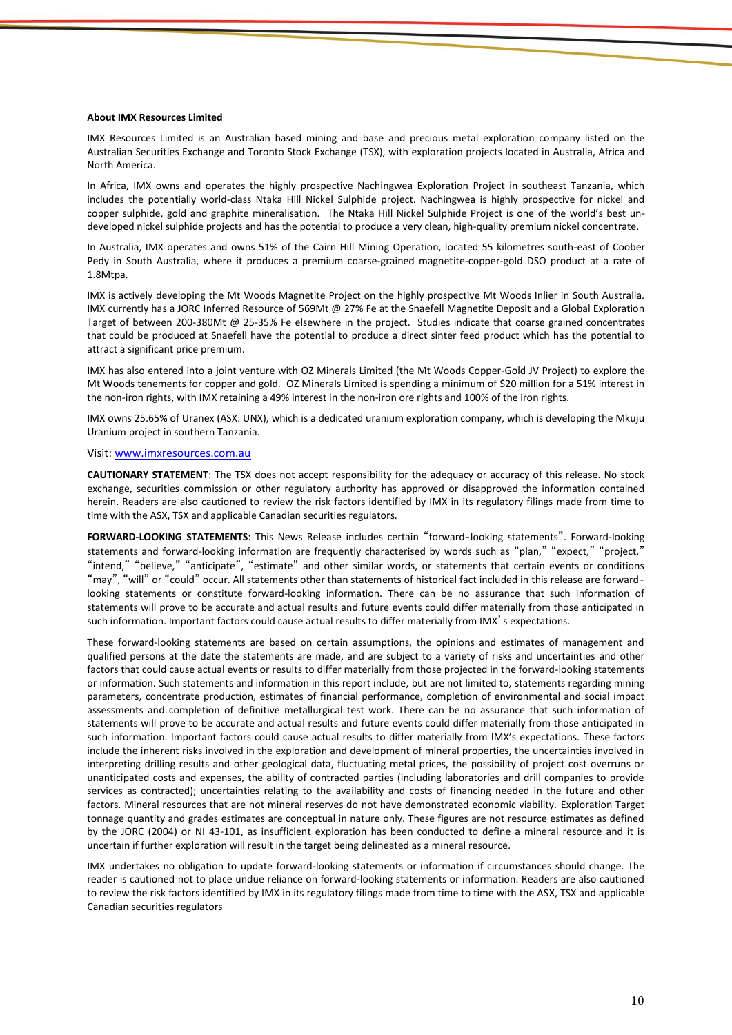#### **About IMX Resources Limited**

IMX Resources Limited is an Australian based mining and base and precious metal exploration company listed on the Australian Securities Exchange and Toronto Stock Exchange (TSX), with exploration projects located in Australia, Africa and North America.

In Africa, IMX owns and operates the highly prospective Nachingwea Exploration Project in southeast Tanzania, which includes the potentially world-class Ntaka Hill Nickel Sulphide project. Nachingwea is highly prospective for nickel and copper sulphide, gold and graphite mineralisation. The Ntaka Hill Nickel Sulphide Project is one of the world's best undeveloped nickel sulphide projects and has the potential to produce a very clean, high-quality premium nickel concentrate.

In Australia, IMX operates and owns 51% of the Cairn Hill Mining Operation, located 55 kilometres south-east of Coober Pedy in South Australia, where it produces a premium coarse-grained magnetite-copper-gold DSO product at a rate of 1.8Mtpa.

IMX is actively developing the Mt Woods Magnetite Project on the highly prospective Mt Woods Inlier in South Australia. IMX currently has a JORC Inferred Resource of 569Mt @ 27% Fe at the Snaefell Magnetite Deposit and a Global Exploration Target of between 200-380Mt @ 25-35% Fe elsewhere in the project. Studies indicate that coarse grained concentrates that could be produced at Snaefell have the potential to produce a direct sinter feed product which has the potential to attract a significant price premium.

IMX has also entered into a joint venture with OZ Minerals Limited (the Mt Woods Copper-Gold JV Project) to explore the Mt Woods tenements for copper and gold. OZ Minerals Limited is spending a minimum of \$20 million for a 51% interest in the non-iron rights, with IMX retaining a 49% interest in the non-iron ore rights and 100% of the iron rights.

IMX owns 25.65% of Uranex (ASX: UNX), which is a dedicated uranium exploration company, which is developing the Mkuju Uranium project in southern Tanzania.

#### Visit[: www.imxresources.com.au](http://www.imxresources.com.au/)

**CAUTIONARY STATEMENT**: The TSX does not accept responsibility for the adequacy or accuracy of this release. No stock exchange, securities commission or other regulatory authority has approved or disapproved the information contained herein. Readers are also cautioned to review the risk factors identified by IMX in its regulatory filings made from time to time with the ASX, TSX and applicable Canadian securities regulators.

**FORWARD-LOOKING STATEMENTS**: This News Release includes certain "forward‐looking statements". Forward-looking statements and forward-looking information are frequently characterised by words such as "plan," "expect," "project,' "intend," "believe," "anticipate", "estimate" and other similar words, or statements that certain events or conditions "may", "will" or "could" occur. All statements other than statements of historical fact included in this release are forward‐ looking statements or constitute forward-looking information. There can be no assurance that such information of statements will prove to be accurate and actual results and future events could differ materially from those anticipated in such information. Important factors could cause actual results to differ materially from IMX's expectations.

These forward-looking statements are based on certain assumptions, the opinions and estimates of management and qualified persons at the date the statements are made, and are subject to a variety of risks and uncertainties and other factors that could cause actual events or results to differ materially from those projected in the forward-looking statements or information. Such statements and information in this report include, but are not limited to, statements regarding mining parameters, concentrate production, estimates of financial performance, completion of environmental and social impact assessments and completion of definitive metallurgical test work. There can be no assurance that such information of statements will prove to be accurate and actual results and future events could differ materially from those anticipated in such information. Important factors could cause actual results to differ materially from IMX's expectations. These factors include the inherent risks involved in the exploration and development of mineral properties, the uncertainties involved in interpreting drilling results and other geological data, fluctuating metal prices, the possibility of project cost overruns or unanticipated costs and expenses, the ability of contracted parties (including laboratories and drill companies to provide services as contracted); uncertainties relating to the availability and costs of financing needed in the future and other factors. Mineral resources that are not mineral reserves do not have demonstrated economic viability. Exploration Target tonnage quantity and grades estimates are conceptual in nature only. These figures are not resource estimates as defined by the JORC (2004) or NI 43-101, as insufficient exploration has been conducted to define a mineral resource and it is uncertain if further exploration will result in the target being delineated as a mineral resource.

IMX undertakes no obligation to update forward-looking statements or information if circumstances should change. The reader is cautioned not to place undue reliance on forward-looking statements or information. Readers are also cautioned to review the risk factors identified by IMX in its regulatory filings made from time to time with the ASX, TSX and applicable Canadian securities regulators